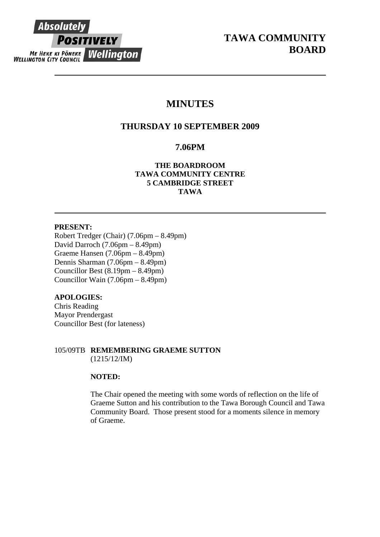

# **MINUTES**

# **THURSDAY 10 SEPTEMBER 2009**

# **7.06PM**

**TAWA COMMUNITY CENTRE 5 CAMBRIDGE STREET TAWA THE BOARDROOM** 

# **PRESENT:**

Robert Tredger (Chair) (7.06pm – 8.49pm) Councillor Wain  $(7.06pm - 8.49pm)$ David Darroch (7.06pm – 8.49pm) Graeme Hansen (7.06pm – 8.49pm) Dennis Sharman (7.06pm – 8.49pm) Councillor Best (8.19pm – 8.49pm)

# **APOLOGIES:**

Councillor Best (for lateness) Chris Reading Mayor Prendergast

# 105/09TB REMEMBERING GRAEME SUTTON  $(1215/12/IM)$

# **NOTED:**

Community Board. Those present stood for a moments silence in memory of Graeme. The Chair opened the meeting with some words of reflection on the life of Graeme Sutton and his contribution to the Tawa Borough Council and Tawa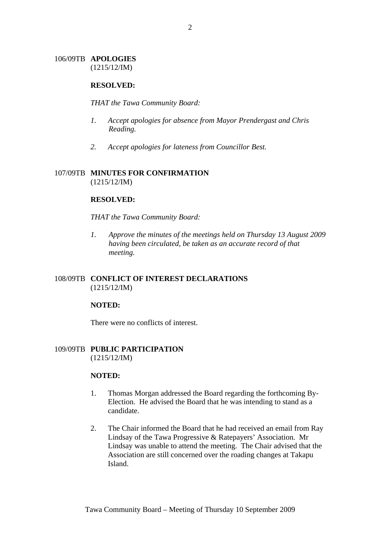# 106/09TB **APOLOGIES** (1215/12/IM)

### **RESOLVED:**

#### *THAT the Tawa Community Board:*

- *1. Accept apologies for absence from Mayor Prendergast and Chris Reading.*
- *2. Accept apologies for lateness from Councillor Best.*

# 107/09TB **MINUTES FOR CONFIRMATION** (1215/12/IM)

## **RESOLVED:**

### *THAT the Tawa Community Board:*

*1. Approve the minutes of the meetings held on Thursday 13 August 2009 having been circulated, be taken as an accurate record of that meeting.* 

# 108/09TB **CONFLICT OF INTEREST DECLARATIONS** (1215/12/IM)

### **NOTED:**

There were no conflicts of interest.

# 109/09TB **PUBLIC PARTICIPATION** (1215/12/IM)

### **NOTED:**

- 1. Thomas Morgan addressed the Board regarding the forthcoming By-Election. He advised the Board that he was intending to stand as a candidate.
- 2. The Chair informed the Board that he had received an email from Ray Lindsay of the Tawa Progressive & Ratepayers' Association. Mr Lindsay was unable to attend the meeting. The Chair advised that the Association are still concerned over the roading changes at Takapu Island.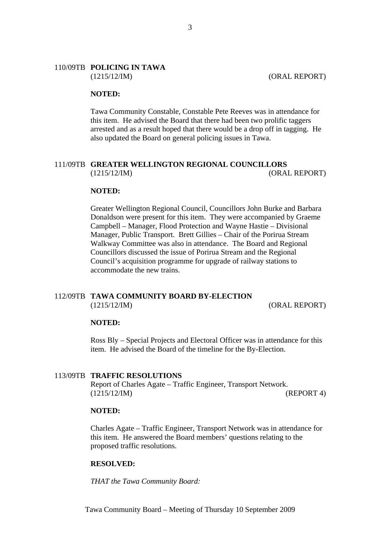### 110/09TB **POLICING IN TAWA** (1215/12/IM) (ORAL REPORT)

### **NOTED:**

Tawa Community Constable, Constable Pete Reeves was in attendance for this item. He advised the Board that there had been two prolific taggers arrested and as a result hoped that there would be a drop off in tagging. He also updated the Board on general policing issues in Tawa.

### 111/09TB **GREATER WELLINGTON REGIONAL COUNCILLORS** (1215/12/IM) (ORAL REPORT)

#### **NOTED:**

Greater Wellington Regional Council, Councillors John Burke and Barbara Donaldson were present for this item. They were accompanied by Graeme Campbell – Manager, Flood Protection and Wayne Hastie – Divisional Manager, Public Transport. Brett Gillies – Chair of the Porirua Stream Walkway Committee was also in attendance. The Board and Regional Councillors discussed the issue of Porirua Stream and the Regional Council's acquisition programme for upgrade of railway stations to accommodate the new trains.

# 112/09TB **TAWA COMMUNITY BOARD BY-ELECTION** (1215/12/IM) (ORAL REPORT)

#### **NOTED:**

Ross Bly – Special Projects and Electoral Officer was in attendance for this item. He advised the Board of the timeline for the By-Election.

#### 113/09TB **TRAFFIC RESOLUTIONS**

Report of Charles Agate – Traffic Engineer, Transport Network. (1215/12/IM) (REPORT 4)

#### **NOTED:**

Charles Agate – Traffic Engineer, Transport Network was in attendance for this item. He answered the Board members' questions relating to the proposed traffic resolutions.

#### **RESOLVED:**

*THAT the Tawa Community Board:*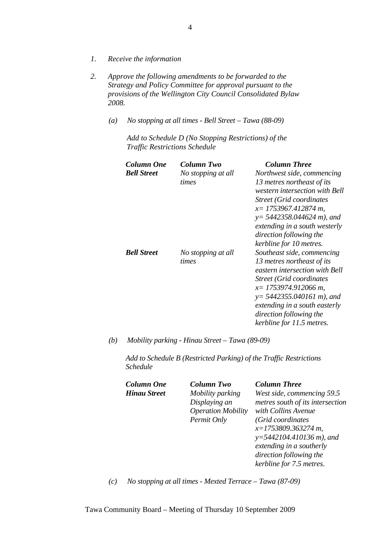- *1. Receive the information*
- *2. Approve the following amendments to be forwarded to the Strategy and Policy Committee for approval pursuant to the provisions of the Wellington City Council Consolidated Bylaw 2008.* 
	- *(a) No stopping at all times Bell Street Tawa (88-09)*

*Add to Schedule D (No Stopping Restrictions) of the Traffic Restrictions Schedule* 

| Column One<br><b>Bell Street</b> | <b>Column Two</b><br>No stopping at all<br>times | <b>Column Three</b><br>Northwest side, commencing<br>13 metres northeast of its<br>western intersection with Bell<br>Street (Grid coordinates<br>$x=$ 1753967.412874 m,<br>$y = 5442358.044624 m$ , and<br>extending in a south westerly<br>direction following the<br>kerbline for 10 metres. |
|----------------------------------|--------------------------------------------------|------------------------------------------------------------------------------------------------------------------------------------------------------------------------------------------------------------------------------------------------------------------------------------------------|
| <b>Bell Street</b>               | No stopping at all<br>times                      | Southeast side, commencing<br>13 metres northeast of its<br>eastern intersection with Bell<br>Street (Grid coordinates<br>$x=$ 1753974.912066 m,<br>$y=$ 5442355.040161 m), and<br>extending in a south easterly<br>direction following the<br>kerbline for 11.5 metres.                       |

*(b) Mobility parking - Hinau Street – Tawa (89-09)* 

*Add to Schedule B (Restricted Parking) of the Traffic Restrictions Schedule* 

| <b>Column One</b>   | <b>Column Two</b>         | <b>Column Three</b>              |
|---------------------|---------------------------|----------------------------------|
| <b>Hinau Street</b> | Mobility parking          | West side, commencing 59.5       |
|                     | Displaying an             | metres south of its intersection |
|                     | <b>Operation Mobility</b> | with Collins Avenue              |
|                     | Permit Only               | (Grid coordinates)               |
|                     |                           | $x=1753809.363274 m$ ,           |
|                     |                           | $y=5442104.410136$ m), and       |
|                     |                           | extending in a southerly         |
|                     |                           | direction following the          |
|                     |                           | kerbline for 7.5 metres.         |

*(c) No stopping at all times - Mexted Terrace – Tawa (87-09)*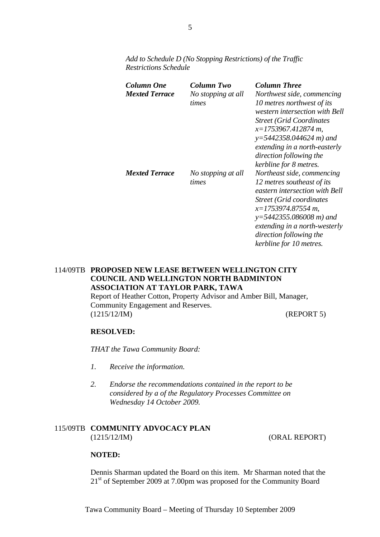*Add to Schedule D (No Stopping Restrictions) of the Traffic Restrictions Schedule* 

| Column One<br><b>Mexted Terrace</b> | Column Two<br>No stopping at all<br>times | <b>Column Three</b><br>Northwest side, commencing<br>10 metres northwest of its<br>western intersection with Bell<br><b>Street (Grid Coordinates)</b><br>$x=1753967.412874 m$<br>$y=5442358.044624 m$ ) and<br>extending in a north-easterly<br>direction following the<br>kerbline for 8 metres. |
|-------------------------------------|-------------------------------------------|---------------------------------------------------------------------------------------------------------------------------------------------------------------------------------------------------------------------------------------------------------------------------------------------------|
| <b>Mexted Terrace</b>               | No stopping at all<br>times               | Northeast side, commencing<br>12 metres southeast of its<br>eastern intersection with Bell<br>Street (Grid coordinates<br>x=1753974.87554 m,<br>$y=5442355.086008 m$ ) and<br>extending in a north-westerly<br>direction following the<br>kerbline for 10 metres.                                 |

# 114/09TB **PROPOSED NEW LEASE BETWEEN WELLINGTON CITY COUNCIL AND WELLINGTON NORTH BADMINTON ASSOCIATION AT TAYLOR PARK, TAWA**

Report of Heather Cotton, Property Advisor and Amber Bill, Manager, Community Engagement and Reserves. (1215/12/IM) (REPORT 5)

# **RESOLVED:**

*THAT the Tawa Community Board:* 

- *1. Receive the information.*
- *2. Endorse the recommendations contained in the report to be considered by a of the Regulatory Processes Committee on Wednesday 14 October 2009.*

# 115/09TB **COMMUNITY ADVOCACY PLAN** (1215/12/IM) (ORAL REPORT)

# **NOTED:**

Dennis Sharman updated the Board on this item. Mr Sharman noted that the 21<sup>st</sup> of September 2009 at 7.00pm was proposed for the Community Board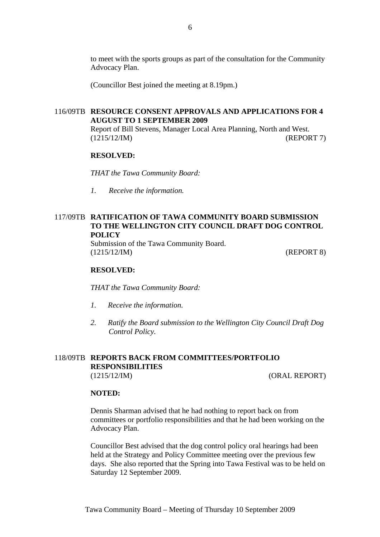to meet with the sports groups as part of the consultation for the Community Advocacy Plan.

(Councillor Best joined the meeting at 8.19pm.)

# 116/09TB **RESOURCE CONSENT APPROVALS AND APPLICATIONS FOR 4 AUGUST TO 1 SEPTEMBER 2009**

Report of Bill Stevens, Manager Local Area Planning, North and West. (1215/12/IM) (REPORT 7)

#### **RESOLVED:**

*THAT the Tawa Community Board:* 

*1. Receive the information.* 

# 117/09TB **RATIFICATION OF TAWA COMMUNITY BOARD SUBMISSION TO THE WELLINGTON CITY COUNCIL DRAFT DOG CONTROL POLICY**

Submission of the Tawa Community Board. (1215/12/IM) (REPORT 8)

#### **RESOLVED:**

*THAT the Tawa Community Board:* 

- *1. Receive the information.*
- *2. Ratify the Board submission to the Wellington City Council Draft Dog Control Policy.*

### 118/09TB **REPORTS BACK FROM COMMITTEES/PORTFOLIO RESPONSIBILITIES**  (1215/12/IM) (ORAL REPORT)

#### **NOTED:**

Dennis Sharman advised that he had nothing to report back on from committees or portfolio responsibilities and that he had been working on the Advocacy Plan.

Councillor Best advised that the dog control policy oral hearings had been held at the Strategy and Policy Committee meeting over the previous few days. She also reported that the Spring into Tawa Festival was to be held on Saturday 12 September 2009.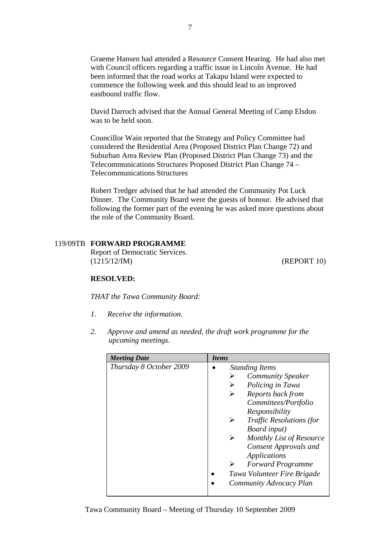Graeme Hansen had attended a Resource Consent Hearing. He had also met with Council officers regarding a traffic issue in Lincoln Avenue. He had been informed that the road works at Takapu Island were expected to commence the following week and this should lead to an improved eastbound traffic flow.

David Darroch advised that the Annual General Meeting of Camp Elsdon was to be held soon.

Councillor Wain reported that the Strategy and Policy Committee had considered the Residential Area (Proposed District Plan Change 72) and Suburban Area Review Plan (Proposed District Plan Change 73) and the Telecommunications Structures Proposed District Plan Change 74 – Telecommunications Structures

Robert Tredger advised that he had attended the Community Pot Luck Dinner. The Community Board were the guests of honour. He advised that following the former part of the evening he was asked more questions about the role of the Community Board.

### 119/09TB **FORWARD PROGRAMME**

Report of Democratic Services. (1215/12/IM) (REPORT 10)

### **RESOLVED:**

*THAT the Tawa Community Board:* 

- *1. Receive the information.*
- *2. Approve and amend as needed, the draft work programme for the upcoming meetings.*

| <b>Meeting Date</b>     | <b>Items</b>                    |
|-------------------------|---------------------------------|
| Thursday 8 October 2009 | <b>Standing Items</b>           |
|                         | <b>Community Speaker</b>        |
|                         | Policing in Tawa                |
|                         | Reports back from<br>➤          |
|                         | Committees/Portfolio            |
|                         | Responsibility                  |
|                         | <b>Traffic Resolutions (for</b> |
|                         | Board input)                    |
|                         | Monthly List of Resource<br>➤   |
|                         | <b>Consent Approvals and</b>    |
|                         | Applications                    |
|                         | <b>Forward Programme</b>        |
|                         | Tawa Volunteer Fire Brigade     |
|                         | Community Advocacy Plan         |